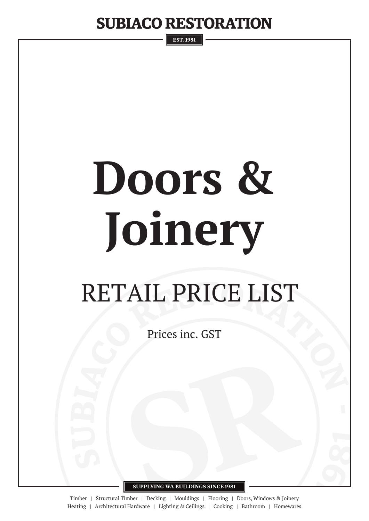**EST. 1981** 

# **Doors & Joinery**

## RETAIL PRICE LIST

Prices inc. GST

**SUPPLYING WA BUILDINGS SINCE 1981**

Timber | Structural Timber | Decking | Mouldings | Flooring | Doors, Windows & Joinery Heating | Architectural Hardware | Lighting & Ceilings | Cooking | Bathroom | Homewares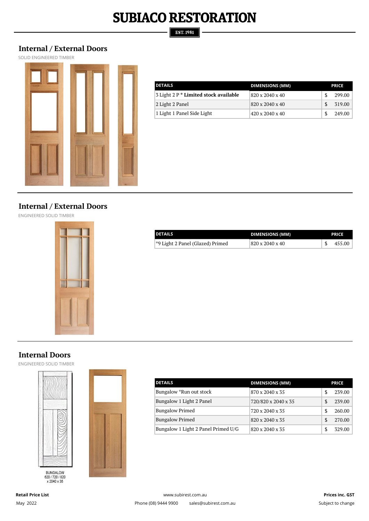#### **EST. 1981**

#### **Internal / External Doors**

SOLID ENGINEERED TIMBER



| <b>DETAILS</b>                        | <b>DIMENSIONS (MM)</b>      |     | <b>PRICE</b> |  |
|---------------------------------------|-----------------------------|-----|--------------|--|
| 3 Light 2 P * Limited stock available | 820 x 2040 x 40             |     | 299.00       |  |
| 2 Light 2 Panel                       | 820 x 2040 x 40             | -SS | 319.00       |  |
| 1 Light 1 Panel Side Light            | $420 \times 2040 \times 40$ |     | 249.00       |  |

#### **Internal / External Doors**

ENGINEERED SOLID TIMBER



| <b>DETAILS</b>                   | <b>DIMENSIONS (MM)</b> | <b>PRICE</b> |
|----------------------------------|------------------------|--------------|
| *9 Light 2 Panel (Glazed) Primed | 820 x 2040 x 40        | 455.00       |

#### **Internal Doors**

ENGINEERED SOLID TIMBER



BUNGALOW<br>620 / 720 / 820<br>x 2040 x 35



| <b>DETAILS</b>                      | <b>DIMENSIONS (MM)</b> |     | <b>PRICE</b> |
|-------------------------------------|------------------------|-----|--------------|
| Bungalow *Run out stock             | 870 x 2040 x 35        | \$. | 239.00       |
| Bungalow 1 Light 2 Panel            | 720/820 x 2040 x 35    | \$. | 239.00       |
| <b>Bungalow Primed</b>              | 720 x 2040 x 35        | \$. | 260.00       |
| <b>Bungalow Primed</b>              | 820 x 2040 x 35        | \$. | 270.00       |
| Bungalow 1 Light 2 Panel Primed U/G | 820 x 2040 x 35        |     | 329.00       |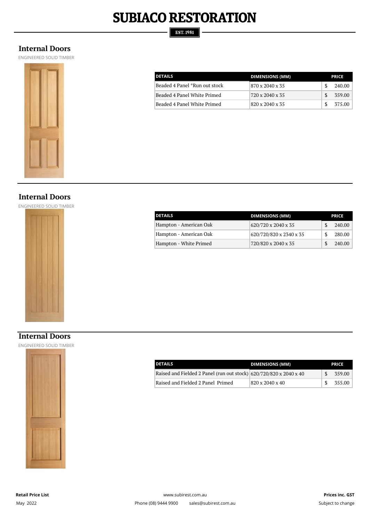#### **EST. 1981**

#### **Internal Doors**

ENGINEERED SOLID TIMBER



| <b>DETAILS</b>                | <b>DIMENSIONS (MM)</b> | <b>PRICE</b> |
|-------------------------------|------------------------|--------------|
| Beaded 4 Panel *Run out stock | 870 x 2040 x 35        | 240.00       |
| Beaded 4 Panel White Primed   | 720 x 2040 x 35        | 359.00<br>-S |
| Beaded 4 Panel White Primed   | 820 x 2040 x 35        | 375.00<br>-S |

#### **Internal Doors**

ENGINEERED SOLID TIMBER



| <b>DETAILS</b>         | <b>DIMENSIONS (MM)</b>  | <b>PRICE</b> |
|------------------------|-------------------------|--------------|
| Hampton - American Oak | 620/720 x 2040 x 35     | 240.00       |
| Hampton - American Oak | 620/720/820 x 2340 x 35 | 280.00       |
| Hampton - White Primed | 720/820 x 2040 x 35     | 240.00       |

#### **Internal Doors**

ENGINEERED SOLID TIMBER



| <b>DETAILS</b>                                                     | <b>DIMENSIONS (MM)</b> | <b>PRICE</b> |
|--------------------------------------------------------------------|------------------------|--------------|
| Raised and Fielded 2 Panel (run out stock) 620/720/820 x 2040 x 40 |                        | 359.00       |
| Raised and Fielded 2 Panel Primed                                  | 820 x 2040 x 40        | 355.00       |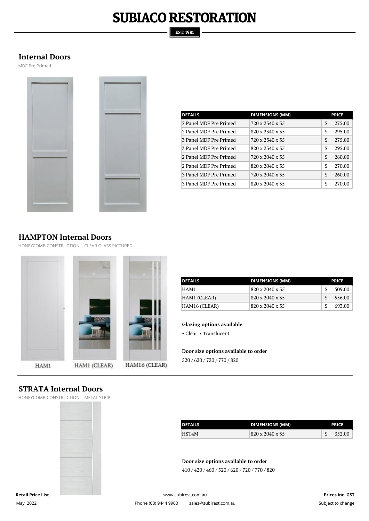#### **EST. 1981**

#### **Internal Doors**

MDF Pre Primed



| <b>DETAILS</b>         | <b>DIMENSIONS (MM)</b> |    | <b>PRICE</b> |
|------------------------|------------------------|----|--------------|
| 2 Panel MDF Pre Primed | 720 x 2340 x 35        | \$ | 275.00       |
|                        |                        |    |              |
| 2 Panel MDF Pre Primed | 820 x 2340 x 35        | \$ | 295.00       |
| 3 Panel MDF Pre Primed | 720 x 2340 x 35        | \$ | 275.00       |
| 3 Panel MDF Pre Primed | 820 x 2340 x 35        | \$ | 295.00       |
| 2 Panel MDF Pre Primed | 720 x 2040 x 35        | \$ | 260.00       |
| 2 Panel MDF Pre Primed | 820 x 2040 x 35        | \$ | 270.00       |
| 3 Panel MDF Pre Primed | 720 x 2040 x 35        | \$ | 260.00       |
| 3 Panel MDF Pre Primed | 820 x 2040 x 35        | \$ | 270.00       |

#### **HAMPTON Internal Doors**

HONEYCOMB CONSTRUCTION - CLEAR GLASS PICTURED



| <b>DETAILS</b> | <b>DIMENSIONS (MM)</b> | <b>PRICE</b> |
|----------------|------------------------|--------------|
| HAM1           | 820 x 2040 x 35        | 509.00       |
| HAM1 (CLEAR)   | 820 x 2040 x 35        | 556.00       |
| HAM16 (CLEAR)  | 820 x 2040 x 35        | 693.00       |

#### **Glazing options available**

• Clear • Translucent

**Door size options available to order**

520 / 620 / 720 / 770 / 820

#### **STRATA Internal Doors**

HONEYCOMB CONSTRUCTION - METAL STRIP



| <b>DETAILS</b> | <b>DIMENSIONS (MM)</b> |  | <b>PRICE</b> |
|----------------|------------------------|--|--------------|
| HST4M          | 820 x 2040 x 35        |  | 352.00       |

**Door size options available to order**

410 / 420 / 460 / 520 / 620 / 720 / 770 / 820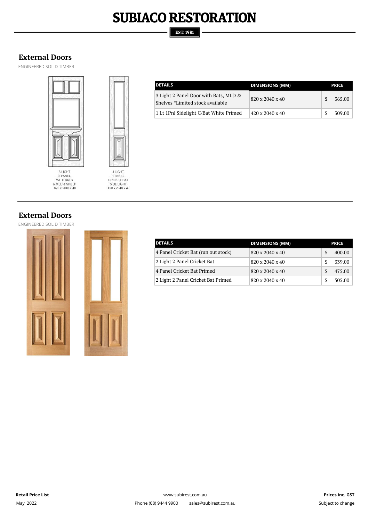#### **EST. 1981**

#### **External Doors**

ENGINEERED SOLID TIMBER





| <b>DETAILS</b>                                                            | <b>DIMENSIONS (MM)</b> | <b>PRICE</b> |
|---------------------------------------------------------------------------|------------------------|--------------|
| 3 Light 2 Panel Door with Bats, MLD &<br>Shelves *Limited stock available | 820 x 2040 x 40        | 365.00       |
| 1 Lt 1Pnl Sidelight C/Bat White Primed                                    | 420 x 2040 x 40        | 309.00       |

#### **External Doors**

ENGINEERED SOLID TIMBER





| <b>DETAILS</b>                      | <b>DIMENSIONS (MM)</b> | <b>PRICE</b> |
|-------------------------------------|------------------------|--------------|
| 4 Panel Cricket Bat (run out stock) | 820 x 2040 x 40        | 400.00       |
| 2 Light 2 Panel Cricket Bat         | 820 x 2040 x 40        | 339.00       |
| 4 Panel Cricket Bat Primed          | 820 x 2040 x 40        | 475.00       |
| 2 Light 2 Panel Cricket Bat Primed  | 820 x 2040 x 40        | 505.00       |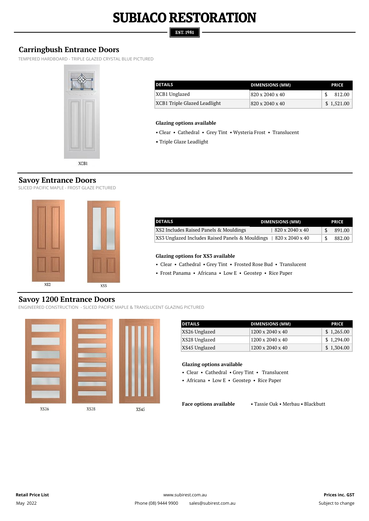#### **EST. 1981**

#### **Carringbush Entrance Doors**

TEMPERED HARDBOARD - TRIPLE GLAZED CRYSTAL BLUE PICTURED



| <b>DETAILS</b>               | <b>DIMENSIONS (MM)</b>      | <b>PRICE</b> |
|------------------------------|-----------------------------|--------------|
| XCB1 Unglazed                | 820 x 2040 x 40             | 812.00       |
| XCB1 Triple Glazed Leadlight | $820 \times 2040 \times 40$ | \$1.521.00   |

#### **Glazing options available**

- Clear Cathedral Grey Tint Wysteria Frost Translucent
- Triple Glaze Leadlight

SLICED PACIFIC MAPLE - FROST GLAZE PICTURED



| <b>DETAILS</b>                                  | <b>DIMENSIONS (MM)</b> | <b>PRICE</b> |
|-------------------------------------------------|------------------------|--------------|
| XS2 Includes Raised Panels & Mouldings          | 820 x 2040 x 40        | 891.00       |
| XS3 Unglazed Includes Raised Panels & Mouldings | 820 x 2040 x 40        | 882.00       |

#### **Glazing options for XS3 available**

• Clear • Cathedral • Grey Tint • Frosted Rose Bud • Translucent

• Frost Panama • Africana • Low E • Geostep • Rice Paper

#### **Savoy 1200 Entrance Doors**

ENGINEERED CONSTRUCTION - SLICED PACIFIC MAPLE & TRANSLUCENT GLAZING PICTURED



| <b>DETAILS</b> | <b>DIMENSIONS (MM)</b> | <b>PRICE</b> |
|----------------|------------------------|--------------|
| XS26 Unglazed  | 1200 x 2040 x 40       | \$1,265.00   |
| XS28 Unglazed  | 1200 x 2040 x 40       | \$1,294.00   |
| XS45 Unglazed  | 1200 x 2040 x 40       | \$1,304.00   |

#### **Glazing options available**

• Clear • Cathedral • Grey Tint • Translucent

• Africana • Low E • Geostep • Rice Paper

**Face options available** • Tassie Oak • Merbau • Blackbutt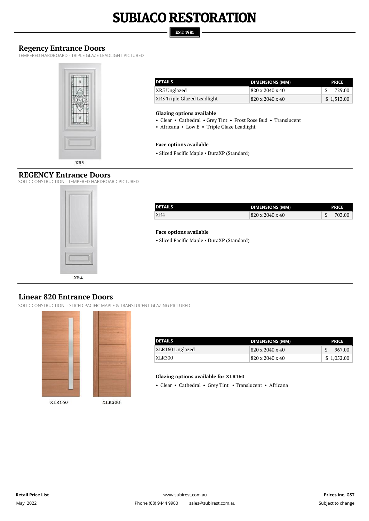#### **EST. 1981**

#### **Regency Entrance Doors**

TEMPERED HARDBOARD - TRIPLE GLAZE LEADLIGHT PICTURED



| <b>DETAILS</b>              | DIMENSIONS (MM) | <b>PRICE</b> |
|-----------------------------|-----------------|--------------|
| XR5 Unglazed                | 820 x 2040 x 40 | 729.00       |
| XR5 Triple Glazed Leadlight | 820 x 2040 x 40 | \$1,513.00   |

#### **Glazing options available**

• Clear • Cathedral • Grey Tint • Frost Rose Bud • Translucent

• Africana • Low E • Triple Glaze Leadlight

#### **Face options available**

• Sliced Pacific Maple • DuraXP (Standard)

#### **REGENCY Entrance Doors**

SOLID CONSTRUCTION - TEMPERED HARDBOARD PICTURED



| <b>DETAILS</b> | <b>DIMENSIONS (MM)</b> | <b>PRICE</b> |
|----------------|------------------------|--------------|
| XR4            | 820 x 2040 x 40        | 703.00       |

#### **Face options available**

• Sliced Pacific Maple • DuraXP (Standard)

#### **Linear 820 Entrance Doors**

SOLID CONSTRUCTION - SLICED PACIFIC MAPLE & TRANSLUCENT GLAZING PICTURED



| <b>DETAILS</b>  | DIMENSIONS (MM) | <b>PRICE</b> |
|-----------------|-----------------|--------------|
| XLR160 Unglazed | 820 x 2040 x 40 | 967.00       |
| XLR300          | 820 x 2040 x 40 | \$1,052.00   |

#### **Glazing options available for XLR160**

• Clear • Cathedral • Grey Tint • Translucent • Africana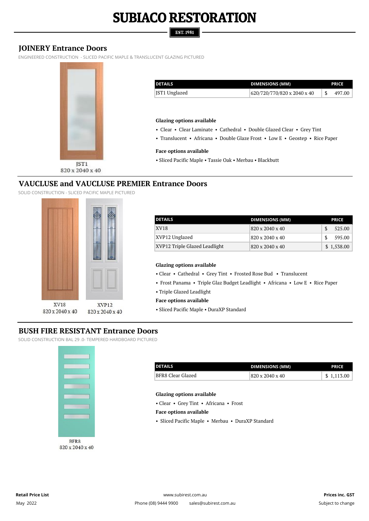#### **EST. 1981**

#### **JOINERY Entrance Doors**

ENGINEERED CONSTRUCTION - SLICED PACIFIC MAPLE & TRANSLUCENT GLAZING PICTURED



| <b>DETAILS</b>                   | <b>DIMENSIONS (MM)</b>                                                       |     | <b>PRICE</b> |
|----------------------------------|------------------------------------------------------------------------------|-----|--------------|
| JST1 Unglazed                    | 620/720/770/820 x 2040 x 40                                                  | \$. | 497.00       |
|                                  |                                                                              |     |              |
|                                  |                                                                              |     |              |
| <b>Glazing options available</b> |                                                                              |     |              |
|                                  | • Clear • Clear Laminate • Cathedral • Double Glazed Clear • Grey Tint       |     |              |
|                                  |                                                                              |     |              |
| <b>Face options available</b>    | • Translucent • Africana • Double Glaze Frost • Low E • Geostep • Rice Paper |     |              |

#### **VAUCLUSE and VAUCLUSE PREMIER Entrance Doors**

SOLID CONSTRUCTION - SLICED PACIFIC MAPLE PICTURED



| <b>DETAILS</b>                | <b>DIMENSIONS (MM)</b> | <b>PRICE</b> |
|-------------------------------|------------------------|--------------|
| <b>XV18</b>                   | 820 x 2040 x 40        | 525.00       |
| XVP12 Unglazed                | 820 x 2040 x 40        | 595.00       |
| XVP12 Triple Glazed Leadlight | 820 x 2040 x 40        | \$1,538.00   |

#### **Glazing options available**

• Clear • Cathedral • Grey Tint • Frosted Rose Bud • Translucent

- Frost Panama Triple Glaz Budget Leadlight Africana Low E Rice Paper
- Triple Glazed Leadlight
- **Face options available**
- Sliced Pacific Maple DuraXP Standard

#### **BUSH FIRE RESISTANT Entrance Doors**

SOLID CONSTRUCTION BAL 29 .0- TEMPERED HARDBOARD PICTURED



| <b>DETAILS</b>    | <b>DIMENSIONS (MM)</b> | <b>PRICE</b> |
|-------------------|------------------------|--------------|
| BFR8 Clear Glazed | 820 x 2040 x 40        | \$1.113.00   |

#### **Glazing options available**

• Clear • Grey Tint • Africana • Frost

#### **Face options available**

• Sliced Pacific Maple • Merbau • DuraXP Standard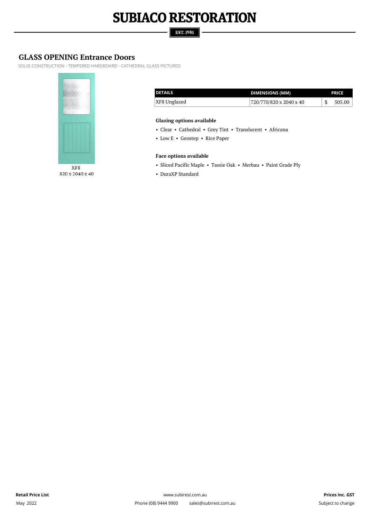#### **EST. 1981**

#### **GLASS OPENING Entrance Doors**

SOLID CONSTRUCTION - TEMPERED HARDBOARD - CATHEDRAL GLASS PICTURED



XF8 820 x 2040 x 40

| <b>DETAILS</b> | <b>DIMENSIONS (MM)</b>  | <b>PRICE</b> |
|----------------|-------------------------|--------------|
| XF8 Unglazed   | 720/770/820 x 2040 x 40 | 505.00       |

#### **Glazing options available**

• Clear • Cathedral • Grey Tint • Translucent • Africana

• Low E • Geostep • Rice Paper

#### **Face options available**

- Sliced Pacific Maple Tassie Oak Merbau Paint Grade Ply
- DuraXP Standard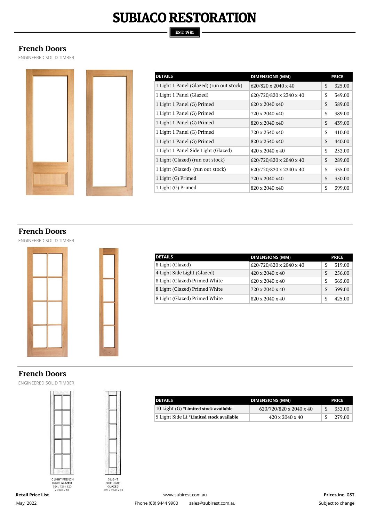#### **EST. 1981**

#### **French Doors**

ENGINEERED SOLID TIMBER



| <b>DETAILS</b>                           | <b>DIMENSIONS (MM)</b>  |               | <b>PRICE</b> |
|------------------------------------------|-------------------------|---------------|--------------|
| 1 Light 1 Panel (Glazed) (run out stock) | 620/820 x 2040 x 40     | \$            | 325.00       |
| 1 Light 1 Panel (Glazed)                 | 620/720/820 x 2340 x 40 | \$            | 349.00       |
| 1 Light 1 Panel (G) Primed               | 620 x 2040 x 40         | $\mathcal{S}$ | 389.00       |
| 1 Light 1 Panel (G) Primed               | 720 x 2040 x40          | \$            | 389.00       |
| 1 Light 1 Panel (G) Primed               | 820 x 2040 x40          | $\mathcal{S}$ | 439.00       |
| 1 Light 1 Panel (G) Primed               | 720 x 2340 x40          | \$            | 410.00       |
| 1 Light 1 Panel (G) Primed               | 820 x 2340 x40          | \$            | 440.00       |
| 1 Light 1 Panel Side Light (Glazed)      | 420 x 2040 x 40         | \$            | 252.00       |
| 1 Light (Glazed) (run out stock)         | 620/720/820 x 2040 x 40 | $\mathcal{S}$ | 289.00       |
| 1 Light (Glazed) (run out stock)         | 620/720/820 x 2340 x 40 | \$            | 335.00       |
| 1 Light (G) Primed                       | 720 x 2040 x40          | $\mathcal{S}$ | 350.00       |
| 1 Light (G) Primed                       | 820 x 2040 x40          | \$            | 399.00       |

#### **French Doors**

ENGINEERED SOLID TIMBER



| <b>DETAILS</b>                | <b>DIMENSIONS (MM)</b>      |     | <b>PRICE</b> |
|-------------------------------|-----------------------------|-----|--------------|
| 8 Light (Glazed)              | 620/720/820 x 2040 x 40     | \$  | 319.00       |
| 4 Light Side Light (Glazed)   | $420 \times 2040 \times 40$ | \$  | 256.00       |
| 8 Light (Glazed) Primed White | $620 \times 2040 \times 40$ | \$. | 365.00       |
| 8 Light (Glazed) Primed White | 720 x 2040 x 40             | \$. | 399.00       |
| 8 Light (Glazed) Primed White | 820 x 2040 x 40             |     | 425.00       |

#### **French Doors**

ENGINEERED SOLID TIMBER



**Retail Price List**

May 2022

5 LIGHT<br>SIDE LIGHT<br>GLAZED<br>420 x 2040 x 40

| <b>DETAILS</b>                           | <b>DIMENSIONS (MM)</b>      |  | <b>PRICE</b> |  |
|------------------------------------------|-----------------------------|--|--------------|--|
| 10 Light (G) *Limited stock available    | 620/720/820 x 2040 x 40     |  | 352.00       |  |
| 5 Light Side Lt *Limited stock available | $420 \times 2040 \times 40$ |  | 279.00       |  |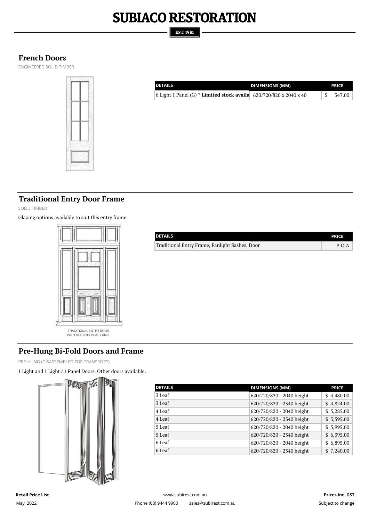#### **EST. 1981**

#### **French Doors**

ENGINEERED SOLID TIMBER



| <b>DETAILS</b>                                                     | <b>DIMENSIONS (MM)</b> | <b>PRICE</b> |
|--------------------------------------------------------------------|------------------------|--------------|
| 6 Light 1 Panel (G) * Limited stock availa 620/720/820 x 2040 x 40 |                        | 347.00       |
|                                                                    |                        |              |

#### **Traditional Entry Door Frame**

SOLID TIMBER

Glazing options available to suit this entry frame.



| <b>DETAILS</b>                                 | <b>PRICE</b> |
|------------------------------------------------|--------------|
| Traditional Entry Frame, Fanlight Sashes, Door | P.O.A        |
|                                                |              |
|                                                |              |
|                                                |              |
|                                                |              |

#### TRADITIONAL ENTRY DOOR<br>WITH SIDE AND HEAD PANEL

#### **Pre-Hung Bi-Fold Doors and Frame**

PRE-HUNG (DISASSEMBLED FOR TRANSPORT)

1 Light and 1 Light / 1 Panel Doors. Other doors available.



| <b>DETAILS</b> | <b>DIMENSIONS (MM)</b>    | <b>PRICE</b> |
|----------------|---------------------------|--------------|
| 3 Leaf         | 620/720/820 - 2040 height | \$4,480.00   |
| 3 Leaf         | 620/720/820 - 2340 height | \$4,824.00   |
| 4 Leaf         | 620/720/820 - 2040 height | \$5,285.00   |
| 4 Leaf         | 620/720/820 - 2340 height | \$5,595.00   |
| 5 Leaf         | 620/720/820 - 2040 height | \$5,995.00   |
| 5 Leaf         | 620/720/820 - 2340 height | \$6,395.00   |
| 6 Leaf         | 620/720/820 - 2040 height | \$6,895.00   |
| 6 Leaf         | 620/720/820 - 2340 height | \$7,240.00   |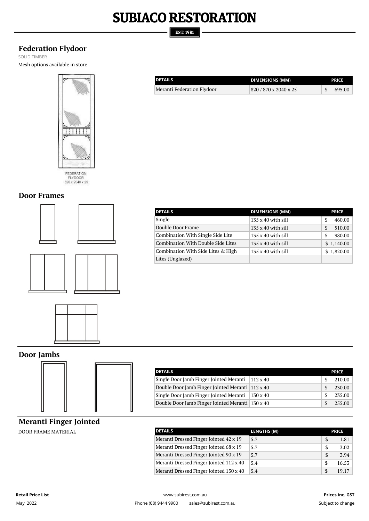#### **EST. 1981**

Meranti Federation Flydoor

**DETAILS**

#### **Federation Flydoor**

SOLID TIMBER Mesh options available in store



FEDERATION<br>FLYDOOR<br>820 x 2040 x 25

#### **Door Frames**





| <b>DETAILS</b>                     | <b>DIMENSIONS (MM)</b>    | <b>PRICE</b> |
|------------------------------------|---------------------------|--------------|
| Single                             | $135 \times 40$ with sill | 460.00       |
| Double Door Frame                  | $135 \times 40$ with sill | 510.00<br>S  |
| Combination With Single Side Lite  | $135 \times 40$ with sill | 980.00<br>S  |
| Combination With Double Side Lites | $135 \times 40$ with sill | \$1,140.00   |
| Combination With Side Lites & High | $135 \times 40$ with sill | \$1,820.00   |
| Lites (Unglazed)                   |                           |              |

**DIMENSIONS (MM) PRICE**  $820 / 870 \times 2040 \times 25$  \$ 695.00

#### **Door Jambs**



| <b>DETAILS</b>                                   |                 | <b>PRICE</b> |
|--------------------------------------------------|-----------------|--------------|
| Single Door Jamb Finger Jointed Meranti          | $112 \times 40$ | 210.00       |
| Double Door Jamb Finger Jointed Meranti 112 x 40 |                 | 230.00       |
| Single Door Jamb Finger Jointed Meranti          | $130 \times 40$ | 235.00       |
| Double Door Jamb Finger Jointed Meranti 130 x 40 |                 | 255.00       |

#### **Meranti Finger Jointed**

**DOOR FRAME MATERIAL** 

| <b>DETAILS</b>                          | <b>LENGTHS (M)</b> | <b>PRICE</b>  |       |
|-----------------------------------------|--------------------|---------------|-------|
| Meranti Dressed Finger Jointed 42 x 19  | 5.7                | \$.           | 1.81  |
| Meranti Dressed Finger Jointed 68 x 19  | 5.7                | S             | 3.02  |
| Meranti Dressed Finger Jointed 90 x 19  | 5.7                | \$.           | 3.94  |
| Meranti Dressed Finger Jointed 112 x 40 | 5.4                | -S            | 16.53 |
| Meranti Dressed Finger Jointed 130 x 40 | 5.4                | $\mathcal{S}$ | 19.17 |